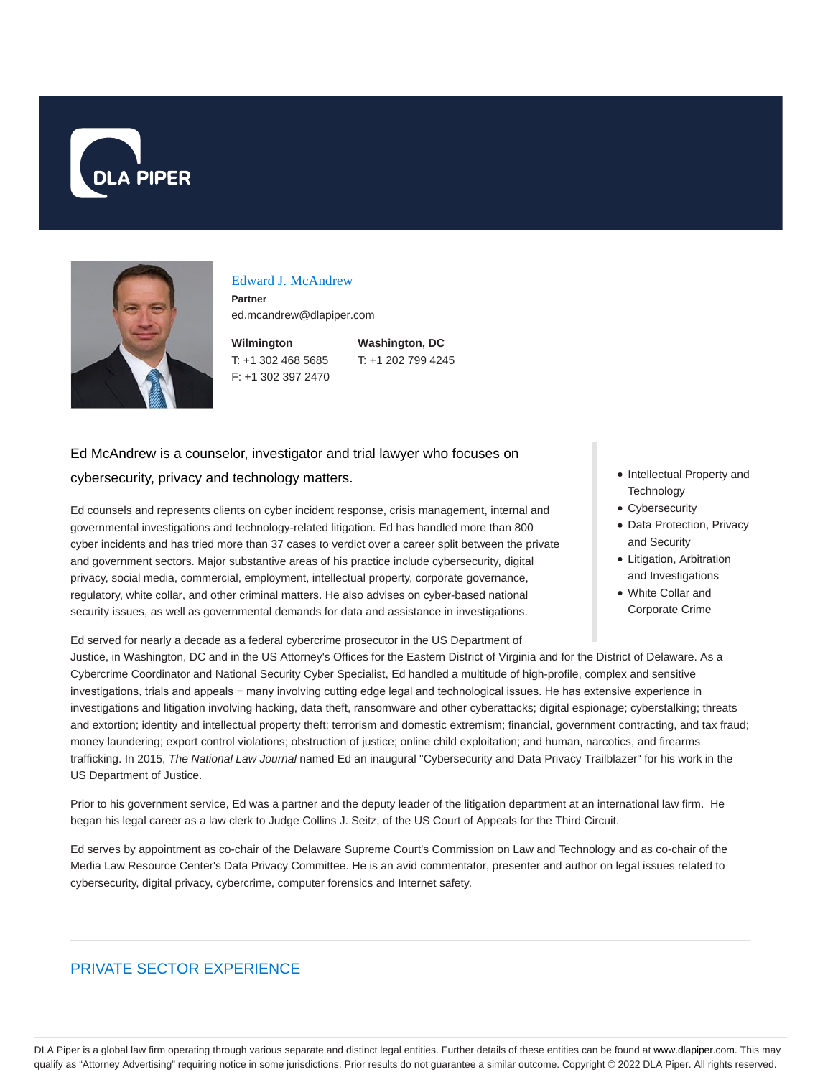



#### Edward J. McAndrew

**Partner** ed.mcandrew@dlapiper.com

**Wilmington** T: +1 302 468 5685 F: +1 302 397 2470 **Washington, DC** T: +1 202 799 4245

# Ed McAndrew is a counselor, investigator and trial lawyer who focuses on cybersecurity, privacy and technology matters.

Ed counsels and represents clients on cyber incident response, crisis management, internal and governmental investigations and technology-related litigation. Ed has handled more than 800 cyber incidents and has tried more than 37 cases to verdict over a career split between the private and government sectors. Major substantive areas of his practice include cybersecurity, digital privacy, social media, commercial, employment, intellectual property, corporate governance, regulatory, white collar, and other criminal matters. He also advises on cyber-based national security issues, as well as governmental demands for data and assistance in investigations.

#### Ed served for nearly a decade as a federal cybercrime prosecutor in the US Department of

Justice, in Washington, DC and in the US Attorney's Offices for the Eastern District of Virginia and for the District of Delaware. As a Cybercrime Coordinator and National Security Cyber Specialist, Ed handled a multitude of high-profile, complex and sensitive investigations, trials and appeals − many involving cutting edge legal and technological issues. He has extensive experience in investigations and litigation involving hacking, data theft, ransomware and other cyberattacks; digital espionage; cyberstalking; threats and extortion; identity and intellectual property theft; terrorism and domestic extremism; financial, government contracting, and tax fraud; money laundering; export control violations; obstruction of justice; online child exploitation; and human, narcotics, and firearms trafficking. In 2015, The National Law Journal named Ed an inaugural "Cybersecurity and Data Privacy Trailblazer" for his work in the US Department of Justice.

Prior to his government service, Ed was a partner and the deputy leader of the litigation department at an international law firm. He began his legal career as a law clerk to Judge Collins J. Seitz, of the US Court of Appeals for the Third Circuit.

Ed serves by appointment as co-chair of the Delaware Supreme Court's Commission on Law and Technology and as co-chair of the Media Law Resource Center's Data Privacy Committee. He is an avid commentator, presenter and author on legal issues related to cybersecurity, digital privacy, cybercrime, computer forensics and Internet safety.

## PRIVATE SECTOR EXPERIENCE

- Intellectual Property and **Technology**
- Cybersecurity
- Data Protection, Privacy and Security
- Litigation, Arbitration and Investigations
- White Collar and Corporate Crime

DLA Piper is a global law firm operating through various separate and distinct legal entities. Further details of these entities can be found at www.dlapiper.com. This may qualify as "Attorney Advertising" requiring notice in some jurisdictions. Prior results do not guarantee a similar outcome. Copyright © 2022 DLA Piper. All rights reserved.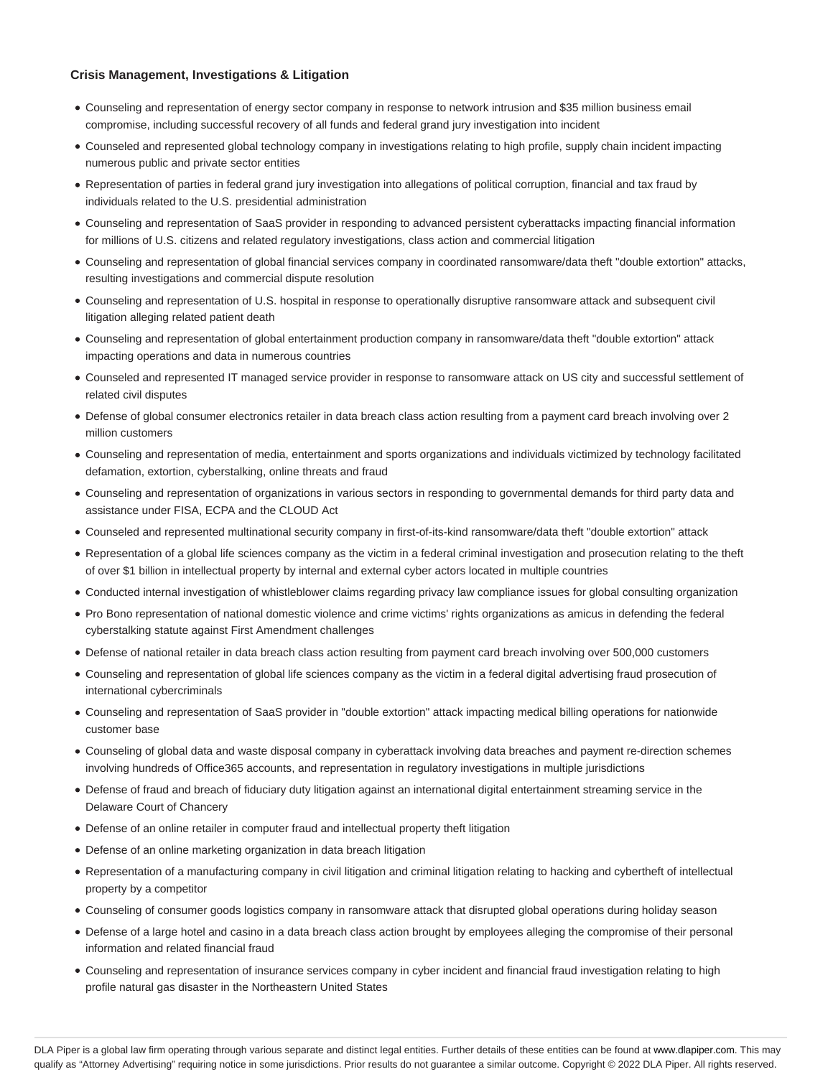#### **Crisis Management, Investigations & Litigation**

- Counseling and representation of energy sector company in response to network intrusion and \$35 million business email compromise, including successful recovery of all funds and federal grand jury investigation into incident
- Counseled and represented global technology company in investigations relating to high profile, supply chain incident impacting numerous public and private sector entities
- Representation of parties in federal grand jury investigation into allegations of political corruption, financial and tax fraud by individuals related to the U.S. presidential administration
- Counseling and representation of SaaS provider in responding to advanced persistent cyberattacks impacting financial information for millions of U.S. citizens and related regulatory investigations, class action and commercial litigation
- Counseling and representation of global financial services company in coordinated ransomware/data theft "double extortion" attacks, resulting investigations and commercial dispute resolution
- Counseling and representation of U.S. hospital in response to operationally disruptive ransomware attack and subsequent civil litigation alleging related patient death
- Counseling and representation of global entertainment production company in ransomware/data theft "double extortion" attack impacting operations and data in numerous countries
- Counseled and represented IT managed service provider in response to ransomware attack on US city and successful settlement of related civil disputes
- Defense of global consumer electronics retailer in data breach class action resulting from a payment card breach involving over 2 million customers
- Counseling and representation of media, entertainment and sports organizations and individuals victimized by technology facilitated defamation, extortion, cyberstalking, online threats and fraud
- Counseling and representation of organizations in various sectors in responding to governmental demands for third party data and assistance under FISA, ECPA and the CLOUD Act
- Counseled and represented multinational security company in first-of-its-kind ransomware/data theft "double extortion" attack
- Representation of a global life sciences company as the victim in a federal criminal investigation and prosecution relating to the theft of over \$1 billion in intellectual property by internal and external cyber actors located in multiple countries
- Conducted internal investigation of whistleblower claims regarding privacy law compliance issues for global consulting organization
- Pro Bono representation of national domestic violence and crime victims' rights organizations as amicus in defending the federal cyberstalking statute against First Amendment challenges
- Defense of national retailer in data breach class action resulting from payment card breach involving over 500,000 customers
- Counseling and representation of global life sciences company as the victim in a federal digital advertising fraud prosecution of international cybercriminals
- Counseling and representation of SaaS provider in "double extortion" attack impacting medical billing operations for nationwide customer base
- Counseling of global data and waste disposal company in cyberattack involving data breaches and payment re-direction schemes involving hundreds of Office365 accounts, and representation in regulatory investigations in multiple jurisdictions
- Defense of fraud and breach of fiduciary duty litigation against an international digital entertainment streaming service in the Delaware Court of Chancery
- Defense of an online retailer in computer fraud and intellectual property theft litigation
- Defense of an online marketing organization in data breach litigation
- Representation of a manufacturing company in civil litigation and criminal litigation relating to hacking and cybertheft of intellectual property by a competitor
- Counseling of consumer goods logistics company in ransomware attack that disrupted global operations during holiday season
- Defense of a large hotel and casino in a data breach class action brought by employees alleging the compromise of their personal information and related financial fraud
- Counseling and representation of insurance services company in cyber incident and financial fraud investigation relating to high profile natural gas disaster in the Northeastern United States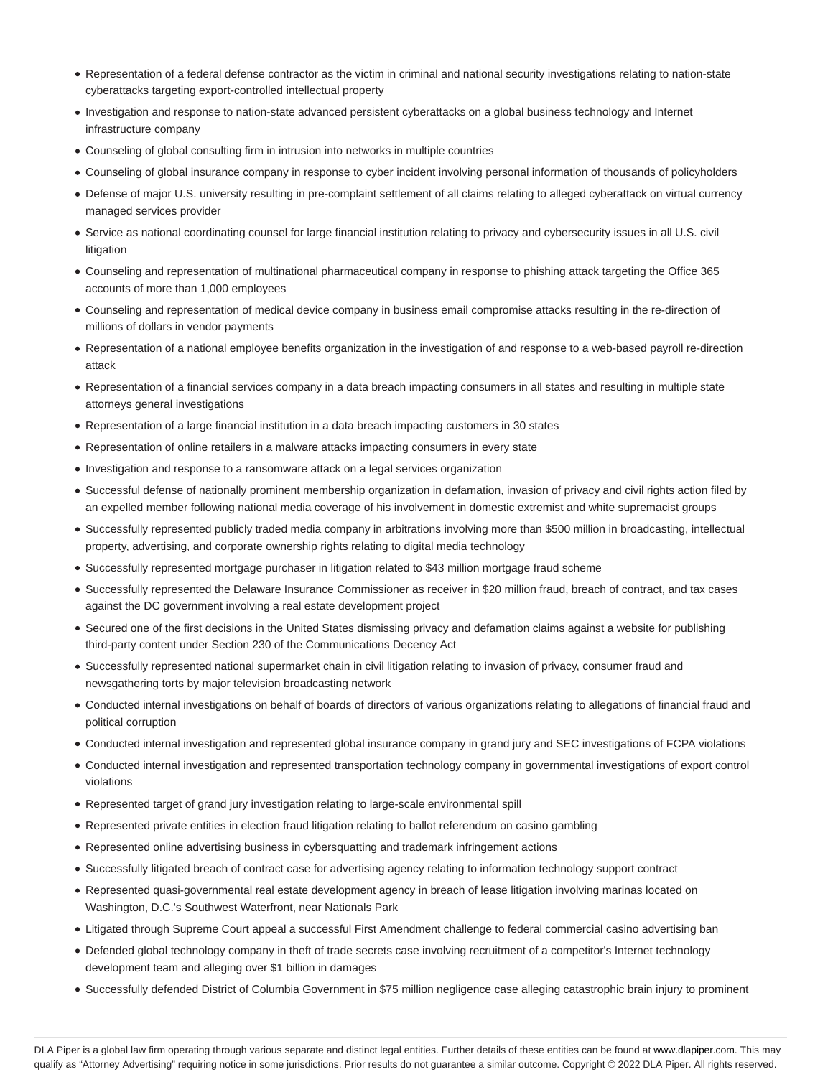- Representation of a federal defense contractor as the victim in criminal and national security investigations relating to nation-state cyberattacks targeting export-controlled intellectual property
- Investigation and response to nation-state advanced persistent cyberattacks on a global business technology and Internet infrastructure company
- Counseling of global consulting firm in intrusion into networks in multiple countries
- Counseling of global insurance company in response to cyber incident involving personal information of thousands of policyholders
- Defense of major U.S. university resulting in pre-complaint settlement of all claims relating to alleged cyberattack on virtual currency managed services provider
- Service as national coordinating counsel for large financial institution relating to privacy and cybersecurity issues in all U.S. civil litigation
- Counseling and representation of multinational pharmaceutical company in response to phishing attack targeting the Office 365 accounts of more than 1,000 employees
- Counseling and representation of medical device company in business email compromise attacks resulting in the re-direction of millions of dollars in vendor payments
- Representation of a national employee benefits organization in the investigation of and response to a web-based payroll re-direction attack
- Representation of a financial services company in a data breach impacting consumers in all states and resulting in multiple state attorneys general investigations
- Representation of a large financial institution in a data breach impacting customers in 30 states
- Representation of online retailers in a malware attacks impacting consumers in every state
- Investigation and response to a ransomware attack on a legal services organization
- Successful defense of nationally prominent membership organization in defamation, invasion of privacy and civil rights action filed by an expelled member following national media coverage of his involvement in domestic extremist and white supremacist groups
- Successfully represented publicly traded media company in arbitrations involving more than \$500 million in broadcasting, intellectual property, advertising, and corporate ownership rights relating to digital media technology
- Successfully represented mortgage purchaser in litigation related to \$43 million mortgage fraud scheme
- Successfully represented the Delaware Insurance Commissioner as receiver in \$20 million fraud, breach of contract, and tax cases against the DC government involving a real estate development project
- Secured one of the first decisions in the United States dismissing privacy and defamation claims against a website for publishing third-party content under Section 230 of the Communications Decency Act
- Successfully represented national supermarket chain in civil litigation relating to invasion of privacy, consumer fraud and newsgathering torts by major television broadcasting network
- Conducted internal investigations on behalf of boards of directors of various organizations relating to allegations of financial fraud and political corruption
- Conducted internal investigation and represented global insurance company in grand jury and SEC investigations of FCPA violations
- Conducted internal investigation and represented transportation technology company in governmental investigations of export control violations
- Represented target of grand jury investigation relating to large-scale environmental spill
- Represented private entities in election fraud litigation relating to ballot referendum on casino gambling
- Represented online advertising business in cybersquatting and trademark infringement actions
- Successfully litigated breach of contract case for advertising agency relating to information technology support contract
- Represented quasi-governmental real estate development agency in breach of lease litigation involving marinas located on Washington, D.C.'s Southwest Waterfront, near Nationals Park
- Litigated through Supreme Court appeal a successful First Amendment challenge to federal commercial casino advertising ban
- Defended global technology company in theft of trade secrets case involving recruitment of a competitor's Internet technology development team and alleging over \$1 billion in damages
- Successfully defended District of Columbia Government in \$75 million negligence case alleging catastrophic brain injury to prominent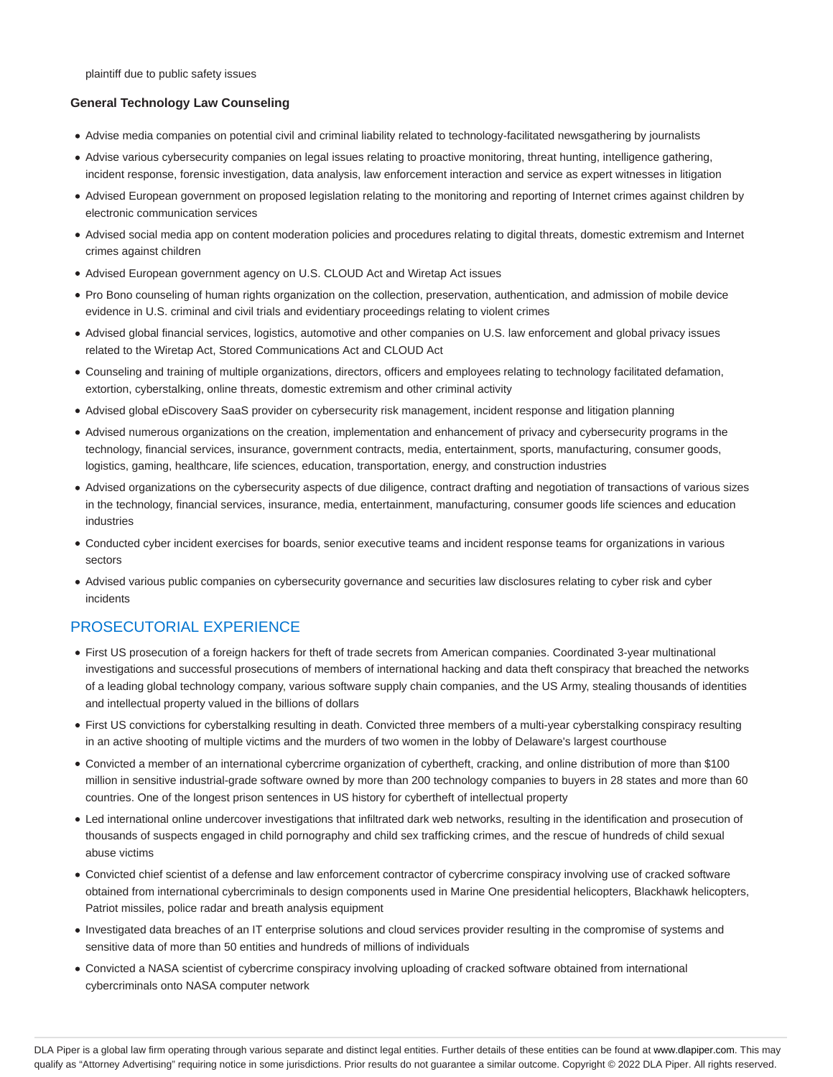plaintiff due to public safety issues

#### **General Technology Law Counseling**

- Advise media companies on potential civil and criminal liability related to technology-facilitated newsgathering by journalists
- Advise various cybersecurity companies on legal issues relating to proactive monitoring, threat hunting, intelligence gathering, incident response, forensic investigation, data analysis, law enforcement interaction and service as expert witnesses in litigation
- Advised European government on proposed legislation relating to the monitoring and reporting of Internet crimes against children by electronic communication services
- Advised social media app on content moderation policies and procedures relating to digital threats, domestic extremism and Internet crimes against children
- Advised European government agency on U.S. CLOUD Act and Wiretap Act issues
- Pro Bono counseling of human rights organization on the collection, preservation, authentication, and admission of mobile device evidence in U.S. criminal and civil trials and evidentiary proceedings relating to violent crimes
- Advised global financial services, logistics, automotive and other companies on U.S. law enforcement and global privacy issues related to the Wiretap Act, Stored Communications Act and CLOUD Act
- Counseling and training of multiple organizations, directors, officers and employees relating to technology facilitated defamation, extortion, cyberstalking, online threats, domestic extremism and other criminal activity
- Advised global eDiscovery SaaS provider on cybersecurity risk management, incident response and litigation planning
- Advised numerous organizations on the creation, implementation and enhancement of privacy and cybersecurity programs in the technology, financial services, insurance, government contracts, media, entertainment, sports, manufacturing, consumer goods, logistics, gaming, healthcare, life sciences, education, transportation, energy, and construction industries
- Advised organizations on the cybersecurity aspects of due diligence, contract drafting and negotiation of transactions of various sizes in the technology, financial services, insurance, media, entertainment, manufacturing, consumer goods life sciences and education industries
- Conducted cyber incident exercises for boards, senior executive teams and incident response teams for organizations in various sectors
- Advised various public companies on cybersecurity governance and securities law disclosures relating to cyber risk and cyber incidents

## PROSECUTORIAL EXPERIENCE

- First US prosecution of a foreign hackers for theft of trade secrets from American companies. Coordinated 3-year multinational investigations and successful prosecutions of members of international hacking and data theft conspiracy that breached the networks of a leading global technology company, various software supply chain companies, and the US Army, stealing thousands of identities and intellectual property valued in the billions of dollars
- First US convictions for cyberstalking resulting in death. Convicted three members of a multi-year cyberstalking conspiracy resulting in an active shooting of multiple victims and the murders of two women in the lobby of Delaware's largest courthouse
- Convicted a member of an international cybercrime organization of cybertheft, cracking, and online distribution of more than \$100 million in sensitive industrial-grade software owned by more than 200 technology companies to buyers in 28 states and more than 60 countries. One of the longest prison sentences in US history for cybertheft of intellectual property
- Led international online undercover investigations that infiltrated dark web networks, resulting in the identification and prosecution of thousands of suspects engaged in child pornography and child sex trafficking crimes, and the rescue of hundreds of child sexual abuse victims
- Convicted chief scientist of a defense and law enforcement contractor of cybercrime conspiracy involving use of cracked software obtained from international cybercriminals to design components used in Marine One presidential helicopters, Blackhawk helicopters, Patriot missiles, police radar and breath analysis equipment
- Investigated data breaches of an IT enterprise solutions and cloud services provider resulting in the compromise of systems and sensitive data of more than 50 entities and hundreds of millions of individuals
- Convicted a NASA scientist of cybercrime conspiracy involving uploading of cracked software obtained from international cybercriminals onto NASA computer network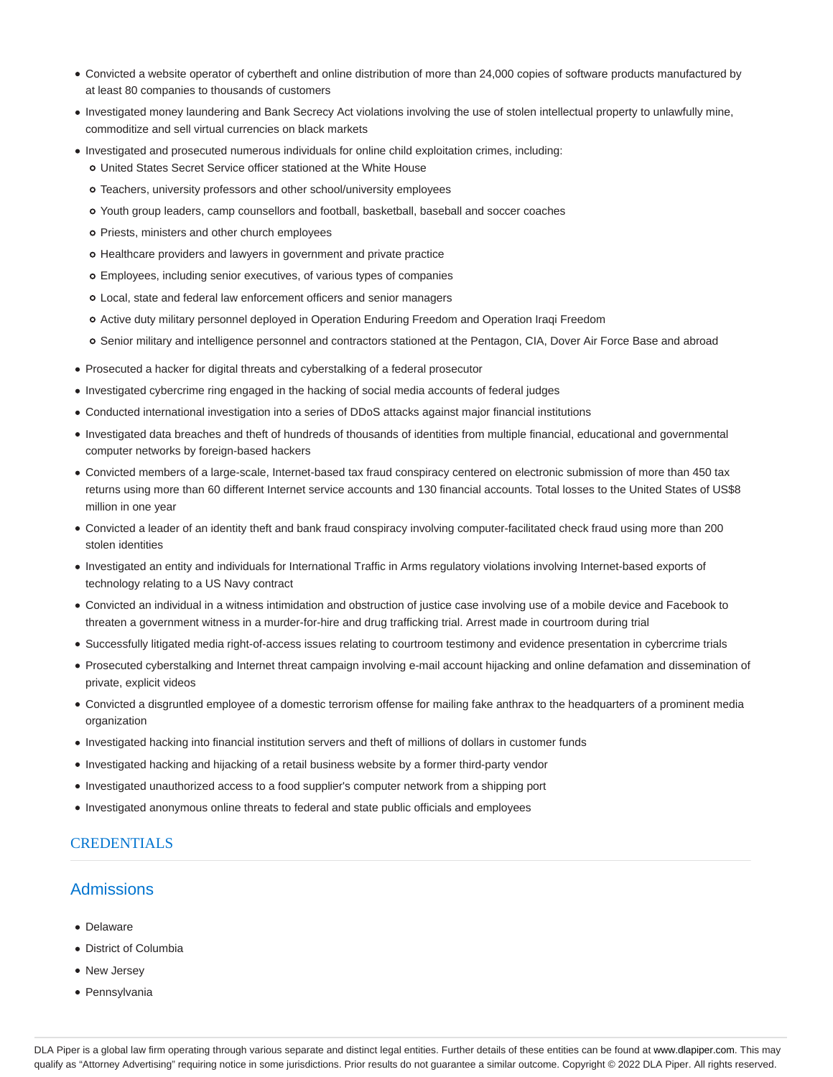- Convicted a website operator of cybertheft and online distribution of more than 24,000 copies of software products manufactured by at least 80 companies to thousands of customers
- Investigated money laundering and Bank Secrecy Act violations involving the use of stolen intellectual property to unlawfully mine, commoditize and sell virtual currencies on black markets
- Investigated and prosecuted numerous individuals for online child exploitation crimes, including: United States Secret Service officer stationed at the White House
	- Teachers, university professors and other school/university employees
	- Youth group leaders, camp counsellors and football, basketball, baseball and soccer coaches
	- o Priests, ministers and other church employees
	- o Healthcare providers and lawyers in government and private practice
	- Employees, including senior executives, of various types of companies
	- Local, state and federal law enforcement officers and senior managers
	- Active duty military personnel deployed in Operation Enduring Freedom and Operation Iraqi Freedom
	- Senior military and intelligence personnel and contractors stationed at the Pentagon, CIA, Dover Air Force Base and abroad
- Prosecuted a hacker for digital threats and cyberstalking of a federal prosecutor
- Investigated cybercrime ring engaged in the hacking of social media accounts of federal judges
- Conducted international investigation into a series of DDoS attacks against major financial institutions
- Investigated data breaches and theft of hundreds of thousands of identities from multiple financial, educational and governmental computer networks by foreign-based hackers
- Convicted members of a large-scale, Internet-based tax fraud conspiracy centered on electronic submission of more than 450 tax returns using more than 60 different Internet service accounts and 130 financial accounts. Total losses to the United States of US\$8 million in one year
- Convicted a leader of an identity theft and bank fraud conspiracy involving computer-facilitated check fraud using more than 200 stolen identities
- Investigated an entity and individuals for International Traffic in Arms regulatory violations involving Internet-based exports of technology relating to a US Navy contract
- Convicted an individual in a witness intimidation and obstruction of justice case involving use of a mobile device and Facebook to threaten a government witness in a murder-for-hire and drug trafficking trial. Arrest made in courtroom during trial
- Successfully litigated media right-of-access issues relating to courtroom testimony and evidence presentation in cybercrime trials
- Prosecuted cyberstalking and Internet threat campaign involving e-mail account hijacking and online defamation and dissemination of private, explicit videos
- Convicted a disgruntled employee of a domestic terrorism offense for mailing fake anthrax to the headquarters of a prominent media organization
- Investigated hacking into financial institution servers and theft of millions of dollars in customer funds
- Investigated hacking and hijacking of a retail business website by a former third-party vendor
- Investigated unauthorized access to a food supplier's computer network from a shipping port
- Investigated anonymous online threats to federal and state public officials and employees

## **CREDENTIALS**

## **Admissions**

- Delaware
- District of Columbia
- New Jersey
- Pennsylvania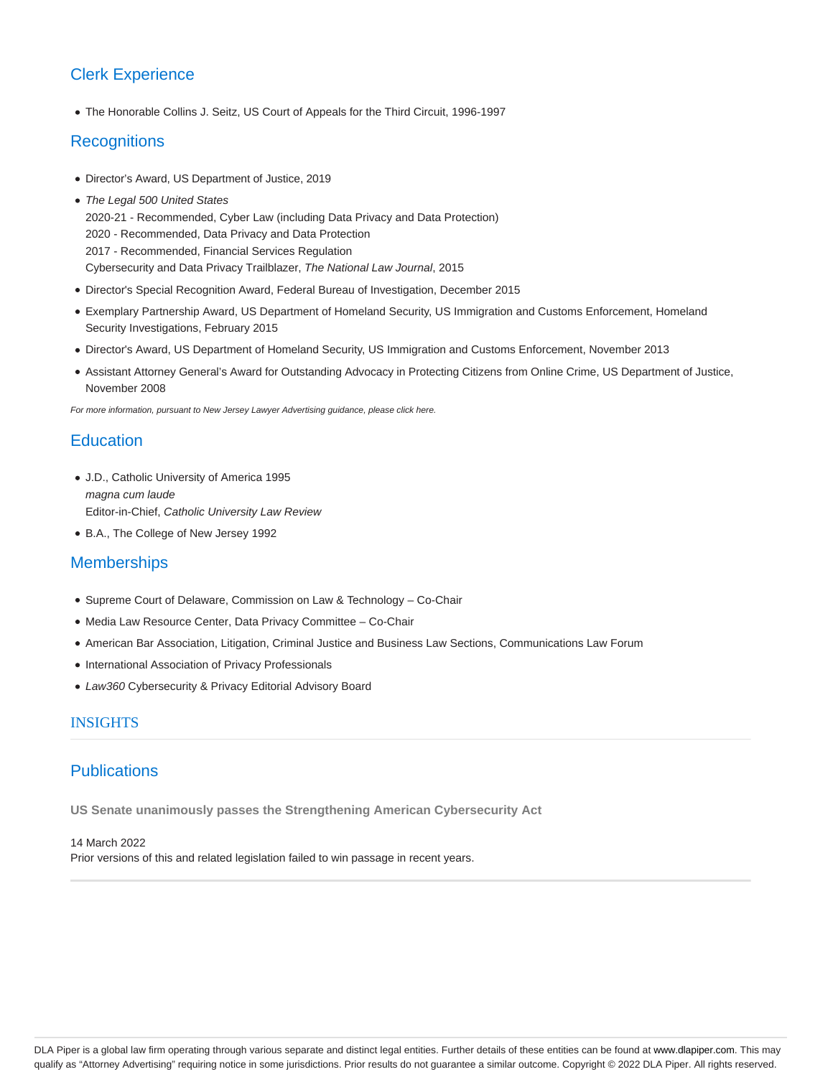# Clerk Experience

The Honorable Collins J. Seitz, US Court of Appeals for the Third Circuit, 1996-1997

## **Recognitions**

- Director's Award, US Department of Justice, 2019
- The Legal 500 United States 2020-21 - Recommended, Cyber Law (including Data Privacy and Data Protection) 2020 - Recommended, Data Privacy and Data Protection 2017 - Recommended, Financial Services Regulation Cybersecurity and Data Privacy Trailblazer, The National Law Journal, 2015
- Director's Special Recognition Award, Federal Bureau of Investigation, December 2015
- Exemplary Partnership Award, US Department of Homeland Security, US Immigration and Customs Enforcement, Homeland Security Investigations, February 2015
- Director's Award, US Department of Homeland Security, US Immigration and Customs Enforcement, November 2013
- Assistant Attorney General's Award for Outstanding Advocacy in Protecting Citizens from Online Crime, US Department of Justice, November 2008

For more information, pursuant to New Jersey Lawyer Advertising guidance, please click here.

## **Education**

- J.D., Catholic University of America 1995 magna cum laude Editor-in-Chief, Catholic University Law Review
- B.A., The College of New Jersey 1992

## **Memberships**

- Supreme Court of Delaware, Commission on Law & Technology Co-Chair
- Media Law Resource Center, Data Privacy Committee Co-Chair
- American Bar Association, Litigation, Criminal Justice and Business Law Sections, Communications Law Forum
- International Association of Privacy Professionals
- Law360 Cybersecurity & Privacy Editorial Advisory Board

### **INSIGHTS**

## **Publications**

**US Senate unanimously passes the Strengthening American Cybersecurity Act**

14 March 2022 Prior versions of this and related legislation failed to win passage in recent years.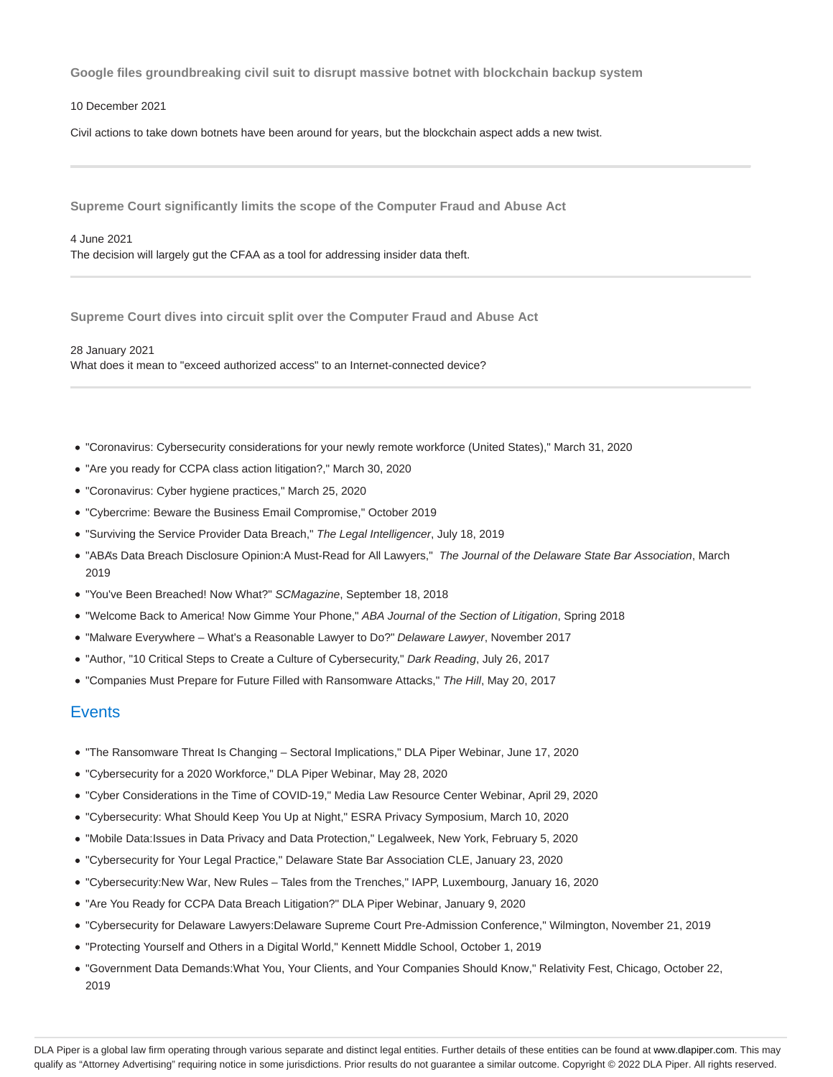**Google files groundbreaking civil suit to disrupt massive botnet with blockchain backup system**

10 December 2021

Civil actions to take down botnets have been around for years, but the blockchain aspect adds a new twist.

**Supreme Court significantly limits the scope of the Computer Fraud and Abuse Act**

4 June 2021 The decision will largely gut the CFAA as a tool for addressing insider data theft.

**Supreme Court dives into circuit split over the Computer Fraud and Abuse Act**

28 January 2021 What does it mean to "exceed authorized access" to an Internet-connected device?

- "Coronavirus: Cybersecurity considerations for your newly remote workforce (United States)," March 31, 2020
- "Are you ready for CCPA class action litigation?," March 30, 2020
- "Coronavirus: Cyber hygiene practices," March 25, 2020
- "Cybercrime: Beware the Business Email Compromise," October 2019
- "Surviving the Service Provider Data Breach," The Legal Intelligencer, July 18, 2019
- . "ABA's Data Breach Disclosure Opinion:A Must-Read for All Lawyers," The Journal of the Delaware State Bar Association, March 2019
- "You've Been Breached! Now What?" SCMagazine, September 18, 2018
- "Welcome Back to America! Now Gimme Your Phone," ABA Journal of the Section of Litigation, Spring 2018
- "Malware Everywhere What's a Reasonable Lawyer to Do?" Delaware Lawyer, November 2017
- "Author, "10 Critical Steps to Create a Culture of Cybersecurity," Dark Reading, July 26, 2017
- "Companies Must Prepare for Future Filled with Ransomware Attacks," The Hill, May 20, 2017

## **Events**

- "The Ransomware Threat Is Changing Sectoral Implications," DLA Piper Webinar, June 17, 2020
- "Cybersecurity for a 2020 Workforce," DLA Piper Webinar, May 28, 2020
- "Cyber Considerations in the Time of COVID-19," Media Law Resource Center Webinar, April 29, 2020
- "Cybersecurity: What Should Keep You Up at Night," ESRA Privacy Symposium, March 10, 2020
- "Mobile Data:Issues in Data Privacy and Data Protection," Legalweek, New York, February 5, 2020
- "Cybersecurity for Your Legal Practice," Delaware State Bar Association CLE, January 23, 2020
- "Cybersecurity:New War, New Rules Tales from the Trenches," IAPP, Luxembourg, January 16, 2020
- "Are You Ready for CCPA Data Breach Litigation?" DLA Piper Webinar, January 9, 2020
- "Cybersecurity for Delaware Lawyers:Delaware Supreme Court Pre-Admission Conference," Wilmington, November 21, 2019
- "Protecting Yourself and Others in a Digital World," Kennett Middle School, October 1, 2019
- "Government Data Demands:What You, Your Clients, and Your Companies Should Know," Relativity Fest, Chicago, October 22, 2019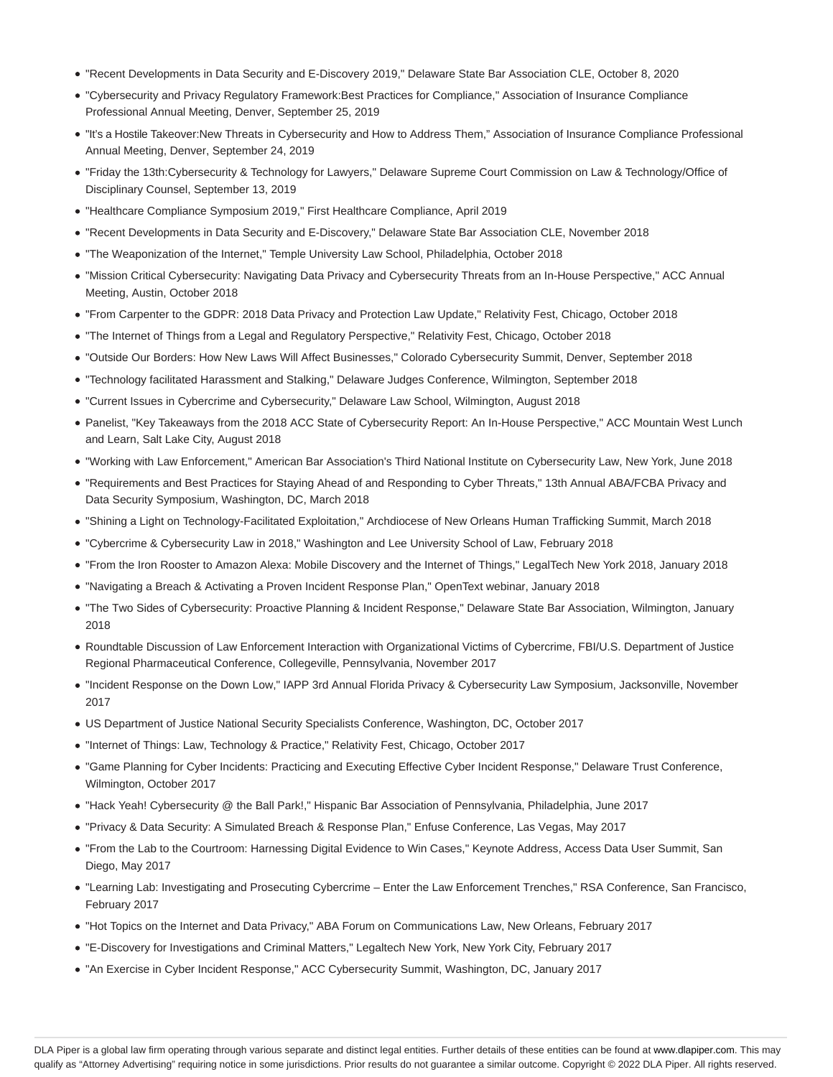- "Recent Developments in Data Security and E-Discovery 2019," Delaware State Bar Association CLE, October 8, 2020
- "Cybersecurity and Privacy Regulatory Framework:Best Practices for Compliance," Association of Insurance Compliance Professional Annual Meeting, Denver, September 25, 2019
- "It's a Hostile Takeover:New Threats in Cybersecurity and How to Address Them," Association of Insurance Compliance Professional Annual Meeting, Denver, September 24, 2019
- "Friday the 13th:Cybersecurity & Technology for Lawyers," Delaware Supreme Court Commission on Law & Technology/Office of Disciplinary Counsel, September 13, 2019
- "Healthcare Compliance Symposium 2019," First Healthcare Compliance, April 2019
- "Recent Developments in Data Security and E-Discovery," Delaware State Bar Association CLE, November 2018
- "The Weaponization of the Internet," Temple University Law School, Philadelphia, October 2018
- "Mission Critical Cybersecurity: Navigating Data Privacy and Cybersecurity Threats from an In-House Perspective," ACC Annual Meeting, Austin, October 2018
- "From Carpenter to the GDPR: 2018 Data Privacy and Protection Law Update," Relativity Fest, Chicago, October 2018
- "The Internet of Things from a Legal and Regulatory Perspective," Relativity Fest, Chicago, October 2018
- "Outside Our Borders: How New Laws Will Affect Businesses," Colorado Cybersecurity Summit, Denver, September 2018
- "Technology facilitated Harassment and Stalking," Delaware Judges Conference, Wilmington, September 2018
- "Current Issues in Cybercrime and Cybersecurity," Delaware Law School, Wilmington, August 2018
- Panelist, "Key Takeaways from the 2018 ACC State of Cybersecurity Report: An In-House Perspective," ACC Mountain West Lunch and Learn, Salt Lake City, August 2018
- "Working with Law Enforcement," American Bar Association's Third National Institute on Cybersecurity Law, New York, June 2018
- "Requirements and Best Practices for Staying Ahead of and Responding to Cyber Threats," 13th Annual ABA/FCBA Privacy and Data Security Symposium, Washington, DC, March 2018
- "Shining a Light on Technology-Facilitated Exploitation," Archdiocese of New Orleans Human Trafficking Summit, March 2018
- "Cybercrime & Cybersecurity Law in 2018," Washington and Lee University School of Law, February 2018
- "From the Iron Rooster to Amazon Alexa: Mobile Discovery and the Internet of Things," LegalTech New York 2018, January 2018
- "Navigating a Breach & Activating a Proven Incident Response Plan," OpenText webinar, January 2018
- "The Two Sides of Cybersecurity: Proactive Planning & Incident Response," Delaware State Bar Association, Wilmington, January 2018
- Roundtable Discussion of Law Enforcement Interaction with Organizational Victims of Cybercrime, FBI/U.S. Department of Justice Regional Pharmaceutical Conference, Collegeville, Pennsylvania, November 2017
- "Incident Response on the Down Low," IAPP 3rd Annual Florida Privacy & Cybersecurity Law Symposium, Jacksonville, November 2017
- US Department of Justice National Security Specialists Conference, Washington, DC, October 2017
- "Internet of Things: Law, Technology & Practice," Relativity Fest, Chicago, October 2017
- "Game Planning for Cyber Incidents: Practicing and Executing Effective Cyber Incident Response," Delaware Trust Conference, Wilmington, October 2017
- "Hack Yeah! Cybersecurity @ the Ball Park!," Hispanic Bar Association of Pennsylvania, Philadelphia, June 2017
- "Privacy & Data Security: A Simulated Breach & Response Plan," Enfuse Conference, Las Vegas, May 2017
- "From the Lab to the Courtroom: Harnessing Digital Evidence to Win Cases," Keynote Address, Access Data User Summit, San Diego, May 2017
- "Learning Lab: Investigating and Prosecuting Cybercrime Enter the Law Enforcement Trenches," RSA Conference, San Francisco, February 2017
- "Hot Topics on the Internet and Data Privacy," ABA Forum on Communications Law, New Orleans, February 2017
- "E-Discovery for Investigations and Criminal Matters," Legaltech New York, New York City, February 2017
- "An Exercise in Cyber Incident Response," ACC Cybersecurity Summit, Washington, DC, January 2017